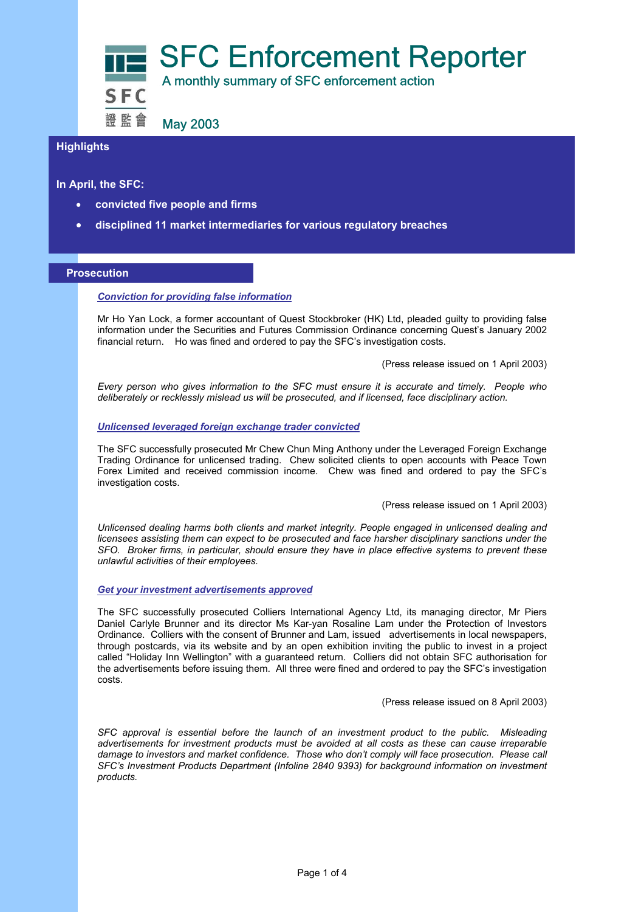

# **Highlights**

**In April, the SFC:** 

- **convicted five people and firms**
- **disciplined 11 market intermediaries for various regulatory breaches**

#### **Prosecution**

### *Conviction for providing false information*

Mr Ho Yan Lock, a former accountant of Quest Stockbroker (HK) Ltd, pleaded guilty to providing false information under the Securities and Futures Commission Ordinance concerning Quest's January 2002 financial return. Ho was fined and ordered to pay the SFC's investigation costs.

(Press release issued on 1 April 2003)

*Every person who gives information to the SFC must ensure it is accurate and timely. People who deliberately or recklessly mislead us will be prosecuted, and if licensed, face disciplinary action.* 

### *Unlicensed leveraged foreign exchange trader convicted*

The SFC successfully prosecuted Mr Chew Chun Ming Anthony under the Leveraged Foreign Exchange Trading Ordinance for unlicensed trading. Chew solicited clients to open accounts with Peace Town Forex Limited and received commission income. Chew was fined and ordered to pay the SFC's investigation costs.

## (Press release issued on 1 April 2003)

*Unlicensed dealing harms both clients and market integrity. People engaged in unlicensed dealing and licensees assisting them can expect to be prosecuted and face harsher disciplinary sanctions under the SFO. Broker firms, in particular, should ensure they have in place effective systems to prevent these unlawful activities of their employees.* 

### *Get your investment advertisements approved*

The SFC successfully prosecuted Colliers International Agency Ltd, its managing director, Mr Piers Daniel Carlyle Brunner and its director Ms Kar-yan Rosaline Lam under the Protection of Investors Ordinance. Colliers with the consent of Brunner and Lam, issued advertisements in local newspapers, through postcards, via its website and by an open exhibition inviting the public to invest in a project called "Holiday Inn Wellington" with a guaranteed return. Colliers did not obtain SFC authorisation for the advertisements before issuing them. All three were fined and ordered to pay the SFC's investigation costs.

(Press release issued on 8 April 2003)

*SFC approval is essential before the launch of an investment product to the public. Misleading advertisements for investment products must be avoided at all costs as these can cause irreparable damage to investors and market confidence. Those who don't comply will face prosecution. Please call SFC's Investment Products Department (Infoline 2840 9393) for background information on investment products.*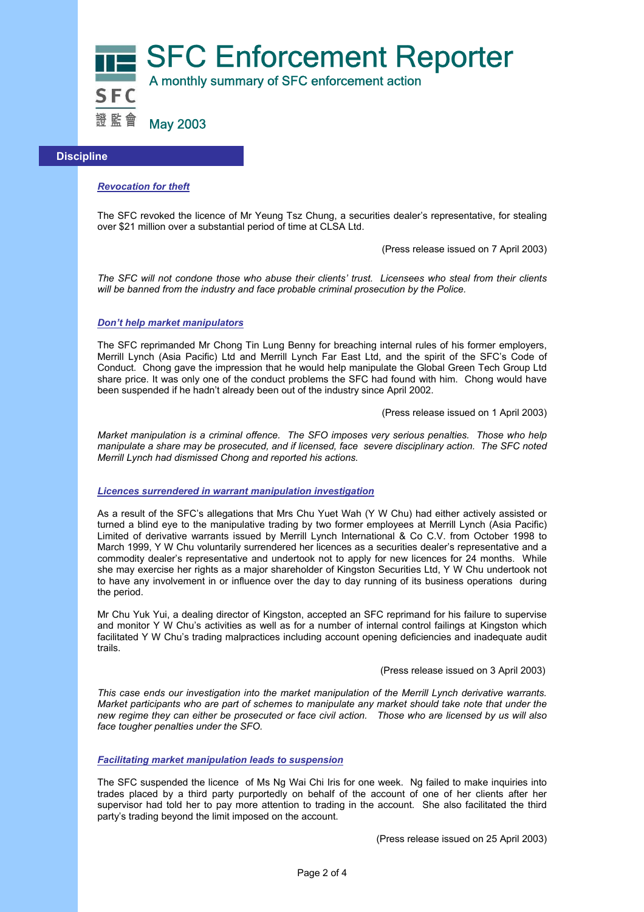

### **Discipline**

## *Revocation for theft*

The SFC revoked the licence of Mr Yeung Tsz Chung, a securities dealer's representative, for stealing over \$21 million over a substantial period of time at CLSA Ltd.

(Press release issued on 7 April 2003)

*The SFC will not condone those who abuse their clients' trust. Licensees who steal from their clients will be banned from the industry and face probable criminal prosecution by the Police.* 

#### *Don't help market manipulators*

The SFC reprimanded Mr Chong Tin Lung Benny for breaching internal rules of his former employers, Merrill Lynch (Asia Pacific) Ltd and Merrill Lynch Far East Ltd, and the spirit of the SFC's Code of Conduct. Chong gave the impression that he would help manipulate the Global Green Tech Group Ltd share price. It was only one of the conduct problems the SFC had found with him. Chong would have been suspended if he hadn't already been out of the industry since April 2002.

(Press release issued on 1 April 2003)

*Market manipulation is a criminal offence. The SFO imposes very serious penalties. Those who help manipulate a share may be prosecuted, and if licensed, face severe disciplinary action. The SFC noted Merrill Lynch had dismissed Chong and reported his actions.*

#### *Licences surrendered in warrant manipulation investigation*

As a result of the SFC's allegations that Mrs Chu Yuet Wah (Y W Chu) had either actively assisted or turned a blind eye to the manipulative trading by two former employees at Merrill Lynch (Asia Pacific) Limited of derivative warrants issued by Merrill Lynch International & Co C.V. from October 1998 to March 1999, Y W Chu voluntarily surrendered her licences as a securities dealer's representative and a commodity dealer's representative and undertook not to apply for new licences for 24 months. While she may exercise her rights as a major shareholder of Kingston Securities Ltd, Y W Chu undertook not to have any involvement in or influence over the day to day running of its business operations during the period.

Mr Chu Yuk Yui, a dealing director of Kingston, accepted an SFC reprimand for his failure to supervise and monitor Y W Chu's activities as well as for a number of internal control failings at Kingston which facilitated Y W Chu's trading malpractices including account opening deficiencies and inadequate audit trails.

(Press release issued on 3 April 2003)

*This case ends our investigation into the market manipulation of the Merrill Lynch derivative warrants. Market participants who are part of schemes to manipulate any market should take note that under the new regime they can either be prosecuted or face civil action. Those who are licensed by us will also face tougher penalties under the SFO.* 

### *Facilitating market manipulation leads to suspension*

The SFC suspended the licence of Ms Ng Wai Chi Iris for one week. Ng failed to make inquiries into trades placed by a third party purportedly on behalf of the account of one of her clients after her supervisor had told her to pay more attention to trading in the account. She also facilitated the third party's trading beyond the limit imposed on the account.

(Press release issued on 25 April 2003)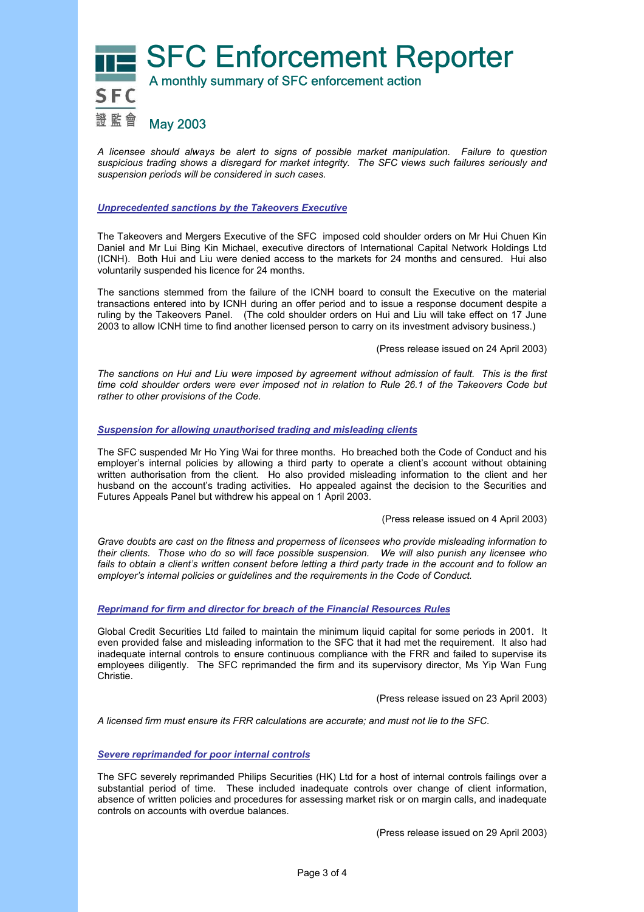**THE SFC Enforcement Reporter** 證監會 May 2003

*A licensee should always be alert to signs of possible market manipulation. Failure to question suspicious trading shows a disregard for market integrity. The SFC views such failures seriously and suspension periods will be considered in such cases.* 

## *Unprecedented sanctions by the Takeovers Executive*

The Takeovers and Mergers Executive of the SFC imposed cold shoulder orders on Mr Hui Chuen Kin Daniel and Mr Lui Bing Kin Michael, executive directors of International Capital Network Holdings Ltd (ICNH). Both Hui and Liu were denied access to the markets for 24 months and censured. Hui also voluntarily suspended his licence for 24 months.

The sanctions stemmed from the failure of the ICNH board to consult the Executive on the material transactions entered into by ICNH during an offer period and to issue a response document despite a ruling by the Takeovers Panel. (The cold shoulder orders on Hui and Liu will take effect on 17 June 2003 to allow ICNH time to find another licensed person to carry on its investment advisory business.)

(Press release issued on 24 April 2003)

*The sanctions on Hui and Liu were imposed by agreement without admission of fault. This is the first time cold shoulder orders were ever imposed not in relation to Rule 26.1 of the Takeovers Code but rather to other provisions of the Code.* 

### *Suspension for allowing unauthorised trading and misleading clients*

The SFC suspended Mr Ho Ying Wai for three months. Ho breached both the Code of Conduct and his employer's internal policies by allowing a third party to operate a client's account without obtaining written authorisation from the client. Ho also provided misleading information to the client and her husband on the account's trading activities. Ho appealed against the decision to the Securities and Futures Appeals Panel but withdrew his appeal on 1 April 2003.

(Press release issued on 4 April 2003)

*Grave doubts are cast on the fitness and properness of licensees who provide misleading information to their clients. Those who do so will face possible suspension. We will also punish any licensee who*  fails to obtain a client's written consent before letting a third party trade in the account and to follow an *employer's internal policies or guidelines and the requirements in the Code of Conduct.* 

## *Reprimand for firm and director for breach of the Financial Resources Rules*

Global Credit Securities Ltd failed to maintain the minimum liquid capital for some periods in 2001. It even provided false and misleading information to the SFC that it had met the requirement. It also had inadequate internal controls to ensure continuous compliance with the FRR and failed to supervise its employees diligently. The SFC reprimanded the firm and its supervisory director, Ms Yip Wan Fung Christie.

(Press release issued on 23 April 2003)

*A licensed firm must ensure its FRR calculations are accurate; and must not lie to the SFC.* 

### *Severe reprimanded for poor internal controls*

The SFC severely reprimanded Philips Securities (HK) Ltd for a host of internal controls failings over a substantial period of time. These included inadequate controls over change of client information, absence of written policies and procedures for assessing market risk or on margin calls, and inadequate controls on accounts with overdue balances.

(Press release issued on 29 April 2003)